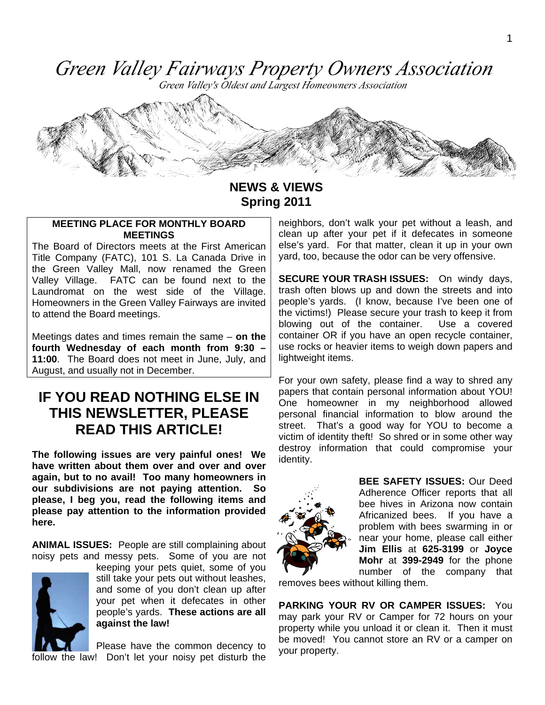Green Valley Fairways Property Owners Association

Green Valley's Oldest and Largest Homeowners Association



**NEWS & VIEWS Spring 2011** 

#### **MEETING PLACE FOR MONTHLY BOARD MEETINGS**

The Board of Directors meets at the First American Title Company (FATC), 101 S. La Canada Drive in the Green Valley Mall, now renamed the Green Valley Village. FATC can be found next to the Laundromat on the west side of the Village. Homeowners in the Green Valley Fairways are invited to attend the Board meetings.

Meetings dates and times remain the same – **on the fourth Wednesday of each month from 9:30 – 11:00**. The Board does not meet in June, July, and August, and usually not in December.

## **IF YOU READ NOTHING ELSE IN THIS NEWSLETTER, PLEASE READ THIS ARTICLE!**

**The following issues are very painful ones! We have written about them over and over and over again, but to no avail! Too many homeowners in our subdivisions are not paying attention. So please, I beg you, read the following items and please pay attention to the information provided here.** 

**ANIMAL ISSUES:** People are still complaining about noisy pets and messy pets. Some of you are not



keeping your pets quiet, some of you still take your pets out without leashes, and some of you don't clean up after your pet when it defecates in other people's yards. **These actions are all against the law!** 

Please have the common decency to follow the law! Don't let your noisy pet disturb the neighbors, don't walk your pet without a leash, and clean up after your pet if it defecates in someone else's yard. For that matter, clean it up in your own yard, too, because the odor can be very offensive.

**SECURE YOUR TRASH ISSUES:** On windy days, trash often blows up and down the streets and into people's yards. (I know, because I've been one of the victims!) Please secure your trash to keep it from blowing out of the container. Use a covered container OR if you have an open recycle container, use rocks or heavier items to weigh down papers and lightweight items.

For your own safety, please find a way to shred any papers that contain personal information about YOU! One homeowner in my neighborhood allowed personal financial information to blow around the street. That's a good way for YOU to become a victim of identity theft! So shred or in some other way destroy information that could compromise your identity.



**BEE SAFETY ISSUES:** Our Deed Adherence Officer reports that all bee hives in Arizona now contain Africanized bees. If you have a problem with bees swarming in or near your home, please call either **Jim Ellis** at **625-3199** or **Joyce Mohr** at **399-2949** for the phone number of the company that

removes bees without killing them.

**PARKING YOUR RV OR CAMPER ISSUES:** You may park your RV or Camper for 72 hours on your property while you unload it or clean it. Then it must be moved! You cannot store an RV or a camper on your property.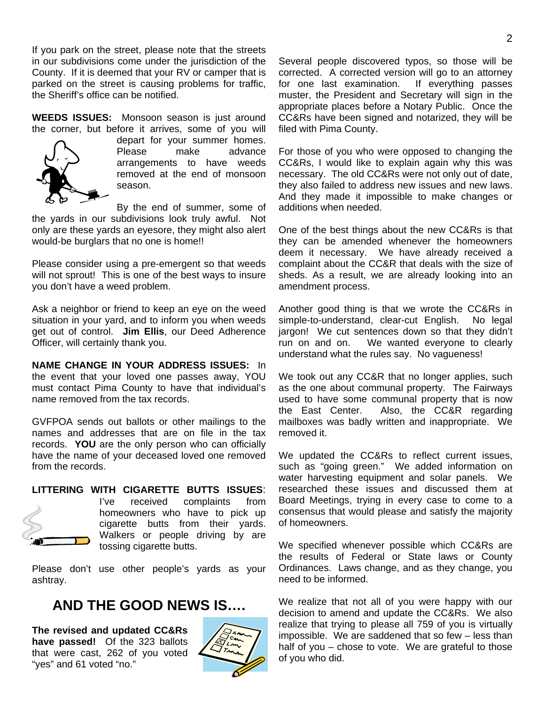If you park on the street, please note that the streets in our subdivisions come under the jurisdiction of the County. If it is deemed that your RV or camper that is parked on the street is causing problems for traffic, the Sheriff's office can be notified.

**WEEDS ISSUES:** Monsoon season is just around the corner, but before it arrives, some of you will



depart for your summer homes. Please make advance arrangements to have weeds removed at the end of monsoon season.

By the end of summer, some of the yards in our subdivisions look truly awful. Not only are these yards an eyesore, they might also alert would-be burglars that no one is home!!

Please consider using a pre-emergent so that weeds will not sprout! This is one of the best ways to insure you don't have a weed problem.

Ask a neighbor or friend to keep an eye on the weed situation in your yard, and to inform you when weeds get out of control. **Jim Ellis**, our Deed Adherence Officer, will certainly thank you.

**NAME CHANGE IN YOUR ADDRESS ISSUES:** In the event that your loved one passes away, YOU must contact Pima County to have that individual's name removed from the tax records.

GVFPOA sends out ballots or other mailings to the names and addresses that are on file in the tax records. **YOU** are the only person who can officially have the name of your deceased loved one removed from the records.

#### **LITTERING WITH CIGARETTE BUTTS ISSUES**:



I've received complaints from homeowners who have to pick up cigarette butts from their yards. Walkers or people driving by are tossing cigarette butts.

Please don't use other people's yards as your ashtray.

## **AND THE GOOD NEWS IS….**

**The revised and updated CC&Rs have passed!** Of the 323 ballots that were cast, 262 of you voted "yes" and 61 voted "no."



Several people discovered typos, so those will be corrected. A corrected version will go to an attorney for one last examination. If everything passes muster, the President and Secretary will sign in the appropriate places before a Notary Public. Once the CC&Rs have been signed and notarized, they will be filed with Pima County.

For those of you who were opposed to changing the CC&Rs, I would like to explain again why this was necessary. The old CC&Rs were not only out of date, they also failed to address new issues and new laws. And they made it impossible to make changes or additions when needed.

One of the best things about the new CC&Rs is that they can be amended whenever the homeowners deem it necessary. We have already received a complaint about the CC&R that deals with the size of sheds. As a result, we are already looking into an amendment process.

Another good thing is that we wrote the CC&Rs in simple-to-understand, clear-cut English. No legal jargon! We cut sentences down so that they didn't run on and on. We wanted everyone to clearly understand what the rules say. No vagueness!

We took out any CC&R that no longer applies, such as the one about communal property. The Fairways used to have some communal property that is now the East Center. Also, the CC&R regarding mailboxes was badly written and inappropriate. We removed it.

We updated the CC&Rs to reflect current issues, such as "going green." We added information on water harvesting equipment and solar panels. We researched these issues and discussed them at Board Meetings, trying in every case to come to a consensus that would please and satisfy the majority of homeowners.

We specified whenever possible which CC&Rs are the results of Federal or State laws or County Ordinances. Laws change, and as they change, you need to be informed.

We realize that not all of you were happy with our decision to amend and update the CC&Rs. We also realize that trying to please all 759 of you is virtually impossible. We are saddened that so few – less than half of you – chose to vote. We are grateful to those of you who did.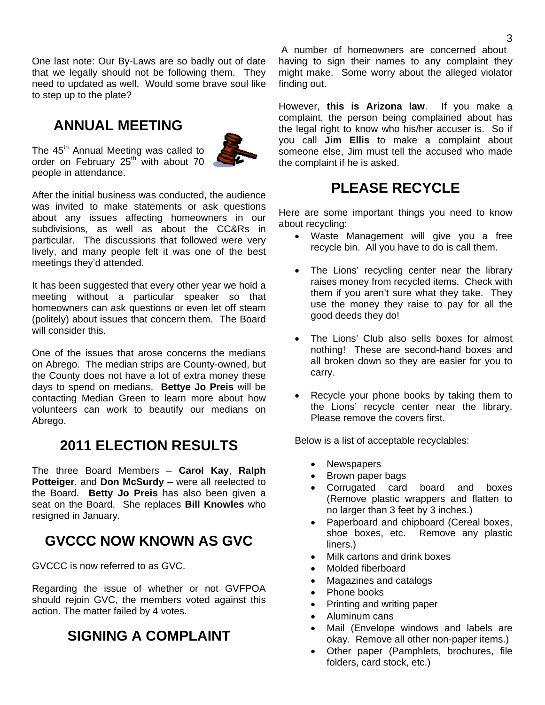One last note: Our By-Laws are so badly out of date that we legally should not be following them. They need to updated as well. Would some brave soul like to step up to the plate?

## **ANNUAL MEETING**



The 45<sup>th</sup> Annual Meeting was called to order on February  $25<sup>th</sup>$  with about 70 people in attendance.

After the initial business was conducted, the audience was invited to make statements or ask questions about any issues affecting homeowners in our subdivisions, as well as about the CC&Rs in particular. The discussions that followed were very lively, and many people felt it was one of the best meetings they'd attended.

It has been suggested that every other year we hold a meeting without a particular speaker so that homeowners can ask questions or even let off steam (politely) about issues that concern them. The Board will consider this.

One of the issues that arose concerns the medians on Abrego. The median strips are County-owned, but the County does not have a lot of extra money these days to spend on medians. **Bettye Jo Preis** will be contacting Median Green to learn more about how volunteers can work to beautify our medians on Abrego.

# **2011 ELECTION RESULTS**

The three Board Members – **Carol Kay**, **Ralph Potteiger**, and **Don McSurdy** – were all reelected to the Board. **Betty Jo Preis** has also been given a seat on the Board. She replaces **Bill Knowles** who resigned in January.

# **GVCCC NOW KNOWN AS GVC**

GVCCC is now referred to as GVC.

Regarding the issue of whether or not GVFPOA should rejoin GVC, the members voted against this action. The matter failed by 4 votes.

# **SIGNING A COMPLAINT**

 A number of homeowners are concerned about having to sign their names to any complaint they might make. Some worry about the alleged violator finding out.

However, **this is Arizona law**. If you make a complaint, the person being complained about has the legal right to know who his/her accuser is. So if you call **Jim Ellis** to make a complaint about someone else, Jim must tell the accused who made the complaint if he is asked.

# **PLEASE RECYCLE**

Here are some important things you need to know about recycling:

- Waste Management will give you a free recycle bin. All you have to do is call them.
- The Lions' recycling center near the library raises money from recycled items. Check with them if you aren't sure what they take. They use the money they raise to pay for all the good deeds they do!
- The Lions' Club also sells boxes for almost nothing! These are second-hand boxes and all broken down so they are easier for you to carry.
- Recycle your phone books by taking them to the Lions' recycle center near the library. Please remove the covers first.

Below is a list of acceptable recyclables:

- Newspapers
- Brown paper bags
- Corrugated card board and boxes (Remove plastic wrappers and flatten to no larger than 3 feet by 3 inches.)
- Paperboard and chipboard (Cereal boxes, shoe boxes, etc. Remove any plastic liners.)
- Milk cartons and drink boxes
- Molded fiberboard
- Magazines and catalogs
- Phone books
- Printing and writing paper
- Aluminum cans
- Mail (Envelope windows and labels are okay. Remove all other non-paper items.)
- Other paper (Pamphlets, brochures, file folders, card stock, etc.)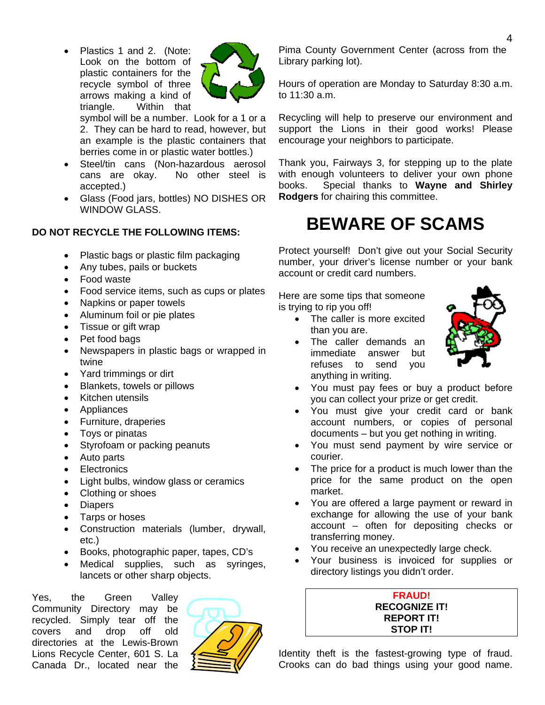• Plastics 1 and 2. (Note: Look on the bottom of plastic containers for the recycle symbol of three arrows making a kind of triangle. Within that



symbol will be a number. Look for a 1 or a 2. They can be hard to read, however, but an example is the plastic containers that berries come in or plastic water bottles.)

- Steel/tin cans (Non-hazardous aerosol cans are okay. No other steel is accepted.)
- Glass (Food jars, bottles) NO DISHES OR WINDOW GLASS.

#### **DO NOT RECYCLE THE FOLLOWING ITEMS:**

- Plastic bags or plastic film packaging
- Any tubes, pails or buckets
- Food waste
- Food service items, such as cups or plates
- Napkins or paper towels
- Aluminum foil or pie plates
- Tissue or gift wrap
- Pet food bags
- Newspapers in plastic bags or wrapped in twine
- Yard trimmings or dirt
- Blankets, towels or pillows
- Kitchen utensils
- Appliances
- Furniture, draperies
- Toys or pinatas
- Styrofoam or packing peanuts
- Auto parts
- **Electronics**
- Light bulbs, window glass or ceramics
- Clothing or shoes
- Diapers
- Tarps or hoses
- Construction materials (lumber, drywall, etc.)
- Books, photographic paper, tapes, CD's
- Medical supplies, such as syringes, lancets or other sharp objects.

Yes, the Green Valley Community Directory may be recycled. Simply tear off the covers and drop off old directories at the Lewis-Brown Lions Recycle Center, 601 S. La Canada Dr., located near the



Pima County Government Center (across from the Library parking lot).

Hours of operation are Monday to Saturday 8:30 a.m. to 11:30 a.m.

Recycling will help to preserve our environment and support the Lions in their good works! Please encourage your neighbors to participate.

Thank you, Fairways 3, for stepping up to the plate with enough volunteers to deliver your own phone books. Special thanks to **Wayne and Shirley Rodgers** for chairing this committee.

# **BEWARE OF SCAMS**

Protect yourself! Don't give out your Social Security number, your driver's license number or your bank account or credit card numbers.

Here are some tips that someone is trying to rip you off!

- The caller is more excited than you are.
- The caller demands an immediate answer but refuses to send you anything in writing.



- You must pay fees or buy a product before you can collect your prize or get credit.
- You must give your credit card or bank account numbers, or copies of personal documents – but you get nothing in writing.
- You must send payment by wire service or courier.
- The price for a product is much lower than the price for the same product on the open market.
- You are offered a large payment or reward in exchange for allowing the use of your bank account – often for depositing checks or transferring money.
- You receive an unexpectedly large check.
- Your business is invoiced for supplies or directory listings you didn't order.

#### **FRAUD! RECOGNIZE IT! REPORT IT! STOP IT!**

Identity theft is the fastest-growing type of fraud. Crooks can do bad things using your good name.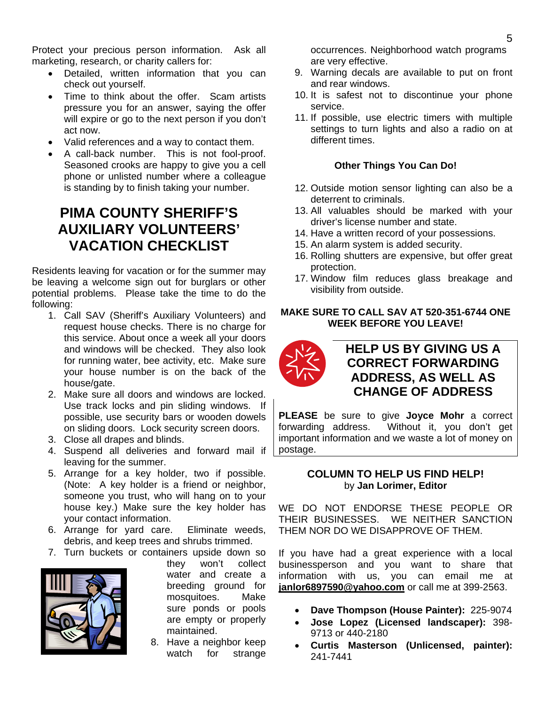Protect your precious person information. Ask all marketing, research, or charity callers for:

- Detailed, written information that you can check out yourself.
- Time to think about the offer. Scam artists pressure you for an answer, saying the offer will expire or go to the next person if you don't act now.
- Valid references and a way to contact them.
- A call-back number. This is not fool-proof. Seasoned crooks are happy to give you a cell phone or unlisted number where a colleague is standing by to finish taking your number.

# **PIMA COUNTY SHERIFF'S AUXILIARY VOLUNTEERS' VACATION CHECKLIST**

Residents leaving for vacation or for the summer may be leaving a welcome sign out for burglars or other potential problems. Please take the time to do the following:

- 1. Call SAV (Sheriff's Auxiliary Volunteers) and request house checks. There is no charge for this service. About once a week all your doors and windows will be checked. They also look for running water, bee activity, etc. Make sure your house number is on the back of the house/gate.
- 2. Make sure all doors and windows are locked. Use track locks and pin sliding windows. If possible, use security bars or wooden dowels on sliding doors. Lock security screen doors.
- 3. Close all drapes and blinds.
- 4. Suspend all deliveries and forward mail if leaving for the summer.
- 5. Arrange for a key holder, two if possible. (Note: A key holder is a friend or neighbor, someone you trust, who will hang on to your house key.) Make sure the key holder has your contact information.
- 6. Arrange for yard care. Eliminate weeds, debris, and keep trees and shrubs trimmed.



7. Turn buckets or containers upside down so they won't collect water and create a breeding ground for mosquitoes. Make sure ponds or pools are empty or properly maintained.

8. Have a neighbor keep watch for strange occurrences. Neighborhood watch programs are very effective.

- 9. Warning decals are available to put on front and rear windows.
- 10. It is safest not to discontinue your phone service.
- 11. If possible, use electric timers with multiple settings to turn lights and also a radio on at different times.

#### **Other Things You Can Do!**

- 12. Outside motion sensor lighting can also be a deterrent to criminals.
- 13. All valuables should be marked with your driver's license number and state.
- 14. Have a written record of your possessions.
- 15. An alarm system is added security.
- 16. Rolling shutters are expensive, but offer great protection.
- 17. Window film reduces glass breakage and visibility from outside.

#### **MAKE SURE TO CALL SAV AT 520-351-6744 ONE WEEK BEFORE YOU LEAVE!**



## **HELP US BY GIVING US A CORRECT FORWARDING ADDRESS, AS WELL AS CHANGE OF ADDRESS**

**PLEASE** be sure to give **Joyce Mohr** a correct forwarding address. Without it, you don't get important information and we waste a lot of money on postage.

#### **COLUMN TO HELP US FIND HELP!**  by **Jan Lorimer, Editor**

WE DO NOT ENDORSE THESE PEOPLE OR THEIR BUSINESSES. WE NEITHER SANCTION THEM NOR DO WE DISAPPROVE OF THEM.

If you have had a great experience with a local businessperson and you want to share that information with us, you can email me at **janlor6897590@yahoo.com** or call me at 399-2563.

- **Dave Thompson (House Painter):** 225-9074
- **Jose Lopez (Licensed landscaper):** 398- 9713 or 440-2180
- **Curtis Masterson (Unlicensed, painter):**  241-7441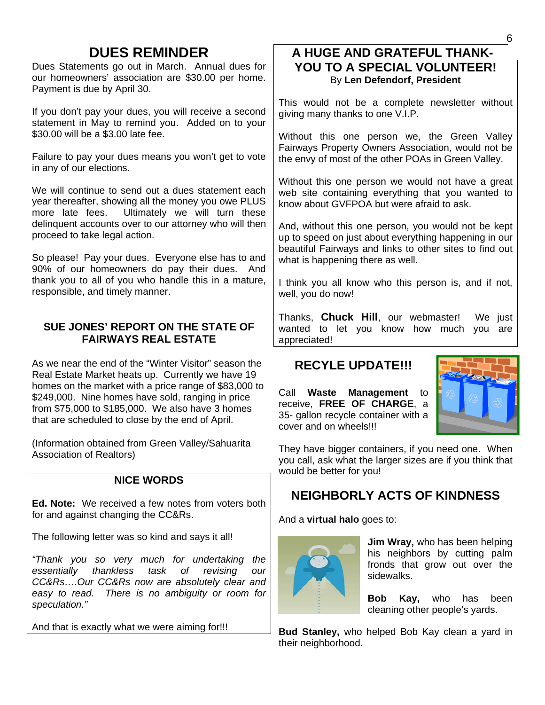# **DUES REMINDER**

Dues Statements go out in March. Annual dues for our homeowners' association are \$30.00 per home. Payment is due by April 30.

If you don't pay your dues, you will receive a second statement in May to remind you. Added on to your \$30.00 will be a \$3.00 late fee.

Failure to pay your dues means you won't get to vote in any of our elections.

We will continue to send out a dues statement each year thereafter, showing all the money you owe PLUS more late fees. Ultimately we will turn these delinquent accounts over to our attorney who will then proceed to take legal action.

So please! Pay your dues. Everyone else has to and 90% of our homeowners do pay their dues. And thank you to all of you who handle this in a mature, responsible, and timely manner.

### **SUE JONES' REPORT ON THE STATE OF FAIRWAYS REAL ESTATE**

As we near the end of the "Winter Visitor" season the Real Estate Market heats up. Currently we have 19 homes on the market with a price range of \$83,000 to \$249,000. Nine homes have sold, ranging in price from \$75,000 to \$185,000. We also have 3 homes that are scheduled to close by the end of April.

(Information obtained from Green Valley/Sahuarita Association of Realtors)

## **NICE WORDS**

**Ed. Note:** We received a few notes from voters both for and against changing the CC&Rs.

The following letter was so kind and says it all!

*"Thank you so very much for undertaking the essentially thankless task of revising our CC&Rs….Our CC&Rs now are absolutely clear and easy to read. There is no ambiguity or room for speculation."* 

And that is exactly what we were aiming for!!!

## **A HUGE AND GRATEFUL THANK-YOU TO A SPECIAL VOLUNTEER!**  By **Len Defendorf, President**

This would not be a complete newsletter without giving many thanks to one V.I.P.

Without this one person we, the Green Valley Fairways Property Owners Association, would not be the envy of most of the other POAs in Green Valley.

Without this one person we would not have a great web site containing everything that you wanted to know about GVFPOA but were afraid to ask.

And, without this one person, you would not be kept up to speed on just about everything happening in our beautiful Fairways and links to other sites to find out what is happening there as well.

I think you all know who this person is, and if not, well, you do now!

Thanks, **Chuck Hill**, our webmaster! We just wanted to let you know how much you are appreciated!

## **RECYLE UPDATE!!!**

Call **Waste Management** to receive, **FREE OF CHARGE**, a 35- gallon recycle container with a cover and on wheels!!!



They have bigger containers, if you need one. When you call, ask what the larger sizes are if you think that would be better for you!

## **NEIGHBORLY ACTS OF KINDNESS**

And a **virtual halo** goes to:



**Jim Wray,** who has been helping his neighbors by cutting palm fronds that grow out over the sidewalks.

**Bob Kay,** who has been cleaning other people's yards.

**Bud Stanley,** who helped Bob Kay clean a yard in their neighborhood.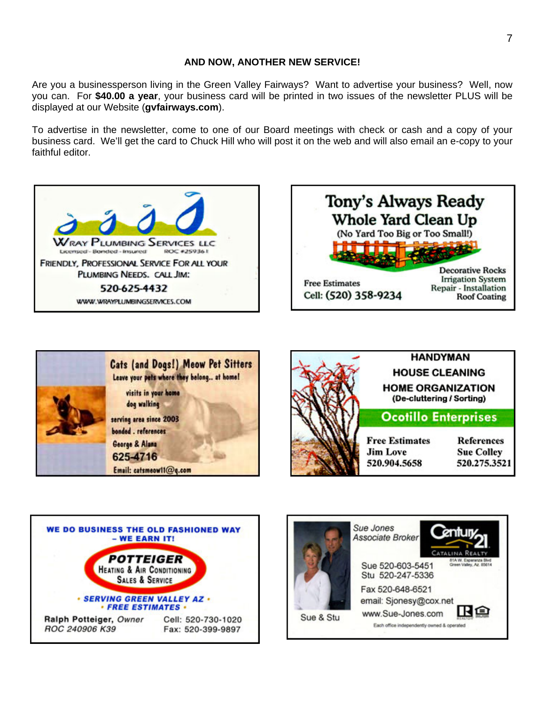#### **AND NOW, ANOTHER NEW SERVICE!**

Are you a businessperson living in the Green Valley Fairways? Want to advertise your business? Well, now you can. For **\$40.00 a year**, your business card will be printed in two issues of the newsletter PLUS will be displayed at our Website (**gvfairways.com**).

To advertise in the newsletter, come to one of our Board meetings with check or cash and a copy of your business card. We'll get the card to Chuck Hill who will post it on the web and will also email an e-copy to your faithful editor.